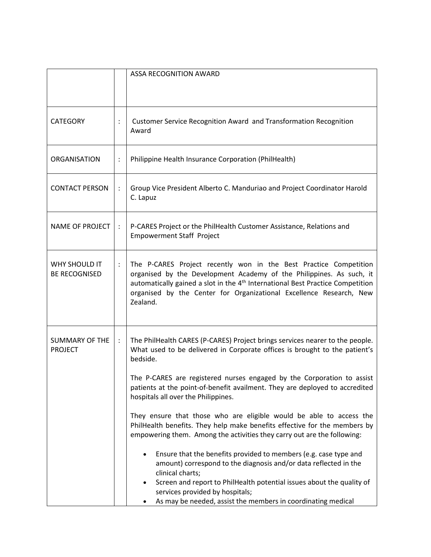|                                              |                      | ASSA RECOGNITION AWARD                                                                                                                                                                                                                                                                                                                                                                                                                                                                                                                                                                                                                                                                                                                                                                                                                                                                                                                             |
|----------------------------------------------|----------------------|----------------------------------------------------------------------------------------------------------------------------------------------------------------------------------------------------------------------------------------------------------------------------------------------------------------------------------------------------------------------------------------------------------------------------------------------------------------------------------------------------------------------------------------------------------------------------------------------------------------------------------------------------------------------------------------------------------------------------------------------------------------------------------------------------------------------------------------------------------------------------------------------------------------------------------------------------|
| <b>CATEGORY</b>                              | $\ddot{\cdot}$       | Customer Service Recognition Award and Transformation Recognition<br>Award                                                                                                                                                                                                                                                                                                                                                                                                                                                                                                                                                                                                                                                                                                                                                                                                                                                                         |
| ORGANISATION                                 | $\ddot{\cdot}$       | Philippine Health Insurance Corporation (PhilHealth)                                                                                                                                                                                                                                                                                                                                                                                                                                                                                                                                                                                                                                                                                                                                                                                                                                                                                               |
| <b>CONTACT PERSON</b>                        | $\ddot{\cdot}$       | Group Vice President Alberto C. Manduriao and Project Coordinator Harold<br>C. Lapuz                                                                                                                                                                                                                                                                                                                                                                                                                                                                                                                                                                                                                                                                                                                                                                                                                                                               |
| NAME OF PROJECT                              | $\ddot{\phantom{a}}$ | P-CARES Project or the PhilHealth Customer Assistance, Relations and<br><b>Empowerment Staff Project</b>                                                                                                                                                                                                                                                                                                                                                                                                                                                                                                                                                                                                                                                                                                                                                                                                                                           |
| <b>WHY SHOULD IT</b><br><b>BE RECOGNISED</b> | :                    | The P-CARES Project recently won in the Best Practice Competition<br>organised by the Development Academy of the Philippines. As such, it<br>automatically gained a slot in the 4 <sup>th</sup> International Best Practice Competition<br>organised by the Center for Organizational Excellence Research, New<br>Zealand.                                                                                                                                                                                                                                                                                                                                                                                                                                                                                                                                                                                                                         |
| <b>SUMMARY OF THE</b><br><b>PROJECT</b>      | $\ddot{\cdot}$       | The PhilHealth CARES (P-CARES) Project brings services nearer to the people.<br>What used to be delivered in Corporate offices is brought to the patient's<br>bedside.<br>The P-CARES are registered nurses engaged by the Corporation to assist<br>patients at the point-of-benefit availment. They are deployed to accredited<br>hospitals all over the Philippines.<br>They ensure that those who are eligible would be able to access the<br>PhilHealth benefits. They help make benefits effective for the members by<br>empowering them. Among the activities they carry out are the following:<br>Ensure that the benefits provided to members (e.g. case type and<br>٠<br>amount) correspond to the diagnosis and/or data reflected in the<br>clinical charts;<br>Screen and report to PhilHealth potential issues about the quality of<br>services provided by hospitals;<br>As may be needed, assist the members in coordinating medical |